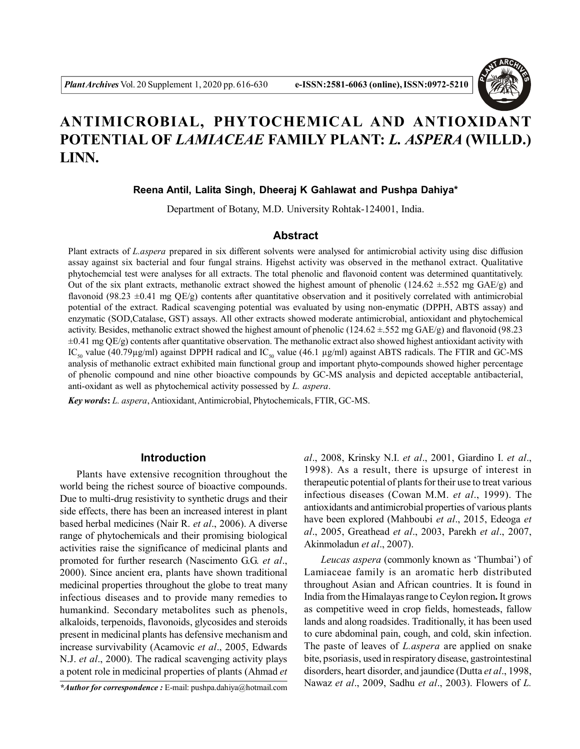

# **ANTIMICROBIAL, PHYTOCHEMICAL AND ANTIOXIDANT POTENTIAL OF** *LAMIACEAE* **FAMILY PLANT:** *L. ASPERA* **(WILLD.) LINN.**

## **Reena Antil, Lalita Singh, Dheeraj K Gahlawat and Pushpa Dahiya\***

Department of Botany, M.D. University Rohtak-124001, India.

## **Abstract**

Plant extracts of *L.aspera* prepared in six different solvents were analysed for antimicrobial activity using disc diffusion assay against six bacterial and four fungal strains. Higehst activity was observed in the methanol extract. Qualitative phytochemcial test were analyses for all extracts. The total phenolic and flavonoid content was determined quantitatively. Out of the six plant extracts, methanolic extract showed the highest amount of phenolic (124.62  $\pm$ .552 mg GAE/g) and flavonoid (98.23  $\pm$ 0.41 mg QE/g) contents after quantitative observation and it positively correlated with antimicrobial potential of the extract. Radical scavenging potential was evaluated by using non-enymatic (DPPH, ABTS assay) and enzymatic (SOD,Catalase, GST) assays. All other extracts showed moderate antimicrobial, antioxidant and phytochemical activity. Besides, methanolic extract showed the highest amount of phenolic (124.62  $\pm$ .552 mg GAE/g) and flavonoid (98.23  $\pm 0.41$  mg QE/g) contents after quantitative observation. The methanolic extract also showed highest antioxidant activity with IC<sub>50</sub> value (40.79µg/ml) against DPPH radical and IC<sub>50</sub> value (46.1 µg/ml) against ABTS radicals. The FTIR and GC-MS analysis of methanolic extract exhibited main functional group and important phyto-compounds showed higher percentage of phenolic compound and nine other bioactive compounds by GC-MS analysis and depicted acceptable antibacterial, anti-oxidant as well as phytochemical activity possessed by *L. aspera*.

*Key words***:** *L. aspera*, Antioxidant, Antimicrobial, Phytochemicals, FTIR, GC-MS.

## **Introduction**

Plants have extensive recognition throughout the world being the richest source of bioactive compounds. Due to multi-drug resistivity to synthetic drugs and their side effects, there has been an increased interest in plant based herbal medicines (Nair R. *et al*., 2006). A diverse range of phytochemicals and their promising biological activities raise the significance of medicinal plants and promoted for further research (Nascimento G.G. *et al*., 2000). Since ancient era, plants have shown traditional medicinal properties throughout the globe to treat many infectious diseases and to provide many remedies to humankind. Secondary metabolites such as phenols, alkaloids, terpenoids, flavonoids, glycosides and steroids present in medicinal plants has defensive mechanism and increase survivability (Acamovic *et al*., 2005, Edwards N.J. *et al*., 2000). The radical scavenging activity plays a potent role in medicinal properties of plants (Ahmad *et* *al*., 2008, Krinsky N.I. *et al*., 2001, Giardino I. *et al*., 1998). As a result, there is upsurge of interest in therapeutic potential of plants for their use to treat various infectious diseases (Cowan M.M. *et al*., 1999). The antioxidants and antimicrobial properties of various plants have been explored (Mahboubi *et al*., 2015, Edeoga *et al*., 2005, Greathead *et al*., 2003, Parekh *et al*., 2007, Akinmoladun *et al*., 2007).

*Leucas aspera* (commonly known as 'Thumbai') of Lamiaceae family is an aromatic herb distributed throughout Asian and African countries. It is found in India from the Himalayas range to Ceylon region**.** It grows as competitive weed in crop fields, homesteads, fallow lands and along roadsides. Traditionally, it has been used to cure abdominal pain, cough, and cold, skin infection. The paste of leaves of *L.aspera* are applied on snake bite, psoriasis, used in respiratory disease, gastrointestinal disorders, heart disorder, and jaundice (Dutta *et al*., 1998, Nawaz *et al*., 2009, Sadhu *et al*., 2003). Flowers of *L. \*Author for correspondence :* E-mail: pushpa.dahiya@hotmail.com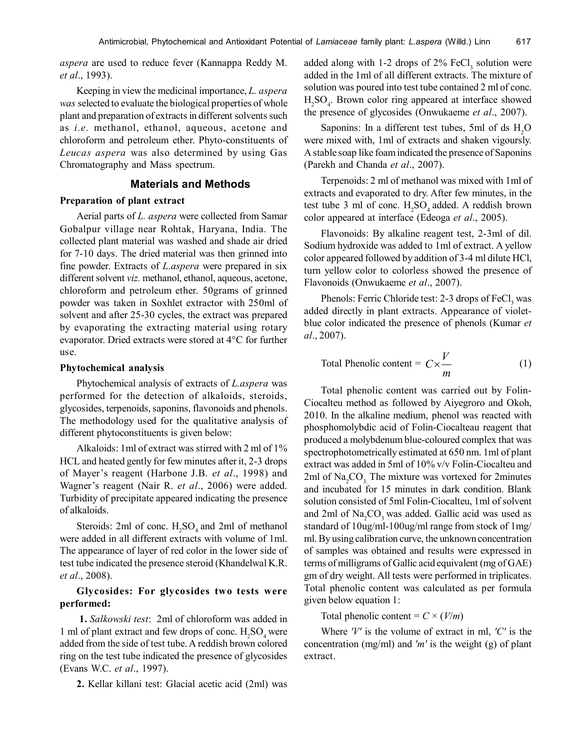*aspera* are used to reduce fever (Kannappa Reddy M. *et al*., 1993).

Keeping in view the medicinal importance, *L. aspera was* selected to evaluate the biological properties of whole plant and preparation of extracts in different solvents such as *i.e.* methanol, ethanol, aqueous, acetone and chloroform and petroleum ether. Phyto-constituents of *Leucas aspera* was also determined by using Gas Chromatography and Mass spectrum.

# **Materials and Methods**

## **Preparation of plant extract**

Aerial parts of *L. aspera* were collected from Samar Gobalpur village near Rohtak, Haryana, India. The collected plant material was washed and shade air dried for 7-10 days. The dried material was then grinned into fine powder. Extracts of *L.aspera* were prepared in six different solvent *viz.* methanol, ethanol, aqueous, acetone, chloroform and petroleum ether. 50grams of grinned powder was taken in Soxhlet extractor with 250ml of solvent and after 25-30 cycles, the extract was prepared by evaporating the extracting material using rotary evaporator. Dried extracts were stored at 4°C for further use.

#### **Phytochemical analysis**

Phytochemical analysis of extracts of *L.aspera* was performed for the detection of alkaloids, steroids, glycosides, terpenoids, saponins, flavonoids and phenols. The methodology used for the qualitative analysis of different phytoconstituents is given below:

Alkaloids: 1ml of extract was stirred with 2 ml of 1% HCL and heated gently for few minutes after it, 2-3 drops of Mayer's reagent (Harbone J.B. *et al*., 1998) and Wagner's reagent (Nair R. *et al*., 2006) were added. Turbidity of precipitate appeared indicating the presence of alkaloids.

Steroids: 2ml of conc.  $H_2SO_4$  and 2ml of methanol were added in all different extracts with volume of 1ml. The appearance of layer of red color in the lower side of test tube indicated the presence steroid (Khandelwal K.R. *et al*., 2008).

## **Glycosides: For glycosides two tests were performed:**

**1.** *Salkowski test*: 2ml of chloroform was added in 1 ml of plant extract and few drops of conc.  $H_2SO_4$  were added from the side of test tube. A reddish brown colored ring on the test tube indicated the presence of glycosides (Evans W.C. *et al*., 1997).

**2.** Kellar killani test: Glacial acetic acid (2ml) was

added along with 1-2 drops of  $2\%$  FeCl<sub>3</sub> solution were added in the 1ml of all different extracts. The mixture of solution was poured into test tube contained 2 ml of conc.  $H_2SO_4$ . Brown color ring appeared at interface showed the presence of glycosides (Onwukaeme *et al*., 2007).

Saponins: In a different test tubes, 5ml of ds  $H<sub>2</sub>O$ were mixed with, 1ml of extracts and shaken vigoursly. A stable soap like foam indicated the presence of Saponins (Parekh and Chanda *et al*., 2007).

Terpenoids: 2 ml of methanol was mixed with 1ml of extracts and evaporated to dry. After few minutes, in the test tube 3 ml of conc.  $H_2SO_4$  added. A reddish brown color appeared at interface (Edeoga *et al*., 2005).

Flavonoids: By alkaline reagent test, 2-3ml of dil. Sodium hydroxide was added to 1ml of extract. A yellow color appeared followed by addition of 3-4 ml dilute HCl, turn yellow color to colorless showed the presence of Flavonoids (Onwukaeme *et al*., 2007).

Phenols: Ferric Chloride test: 2-3 drops of FeCl<sub>3</sub> was added directly in plant extracts. Appearance of violetblue color indicated the presence of phenols (Kumar *et al*., 2007).

Total Phenolic content = 
$$
C \times \frac{V}{m}
$$
 (1)

Total phenolic content was carried out by Folin-Ciocalteu method as followed by Aiyegroro and Okoh, 2010. In the alkaline medium, phenol was reacted with phosphomolybdic acid of Folin-Ciocalteau reagent that produced a molybdenum blue-coloured complex that was spectrophotometrically estimated at 650 nm. 1ml of plant extract was added in 5ml of 10% v/v Folin-Ciocalteu and 2ml of  $Na<sub>2</sub>CO<sub>3</sub>$ . The mixture was vortexed for 2minutes and incubated for 15 minutes in dark condition. Blank solution consisted of 5ml Folin-Ciocalteu, 1ml of solvent and 2ml of  $Na<sub>2</sub>CO<sub>3</sub>$  was added. Gallic acid was used as standard of 10ug/ml-100ug/ml range from stock of 1mg/ ml. By using calibration curve, the unknown concentration of samples was obtained and results were expressed in terms of milligrams of Gallic acid equivalent (mg of GAE) gm of dry weight. All tests were performed in triplicates. Total phenolic content was calculated as per formula given below equation 1:

Total phenolic content =  $C \times (V/m)$ 

Where *'V'* is the volume of extract in ml, *'C'* is the concentration (mg/ml) and *'m'* is the weight (g) of plant extract.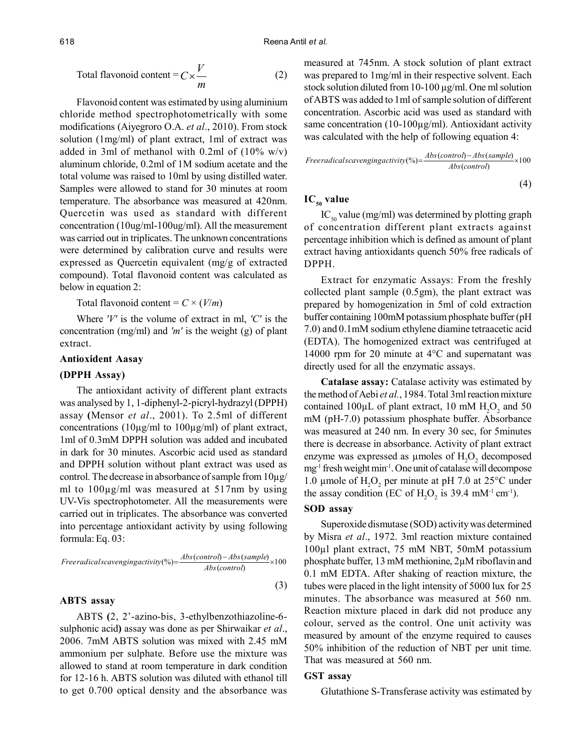Total flavonoid content = 
$$
C \times \frac{V}{m}
$$
 (2)

Flavonoid content was estimated by using aluminium chloride method spectrophotometrically with some modifications (Aiyegroro O.A. *et al*., 2010). From stock solution (1mg/ml) of plant extract, 1ml of extract was added in 3ml of methanol with 0.2ml of  $(10\% \text{ w/v})$ aluminum chloride, 0.2ml of 1M sodium acetate and the total volume was raised to 10ml by using distilled water. Samples were allowed to stand for 30 minutes at room temperature. The absorbance was measured at 420nm. Quercetin was used as standard with different concentration (10ug/ml-100ug/ml). All the measurement was carried out in triplicates. The unknown concentrations were determined by calibration curve and results were expressed as Quercetin equivalent (mg/g of extracted compound). Total flavonoid content was calculated as below in equation 2:

Total flavonoid content =  $C \times (V/m)$ 

Where *'V'* is the volume of extract in ml, *'C'* is the concentration (mg/ml) and *'m'* is the weight (g) of plant extract.

#### **Antioxident Aasay**

#### **(DPPH Assay)**

The antioxidant activity of different plant extracts was analysed by 1, 1-diphenyl-2-picryl-hydrazyl (DPPH) assay **(**Mensor *et al*., 2001). To 2.5ml of different concentrations ( $10\mu$ g/ml to  $100\mu$ g/ml) of plant extract, 1ml of 0.3mM DPPH solution was added and incubated in dark for 30 minutes. Ascorbic acid used as standard and DPPH solution without plant extract was used as control. The decrease in absorbance of sample from 10µg/ ml to 100µg/ml was measured at 517nm by using UV-Vis spectrophotometer. All the measurements were carried out in triplicates. The absorbance was converted into percentage antioxidant activity by using following formula: Eq. 03:

Freeradicalscavengingactivity(%) = 
$$
\frac{Abs(control) - Abs(sample)}{Abs(control)}
$$
 × 100

\n(3)

#### **ABTS assay**

ABTS **(**2, 2'-azino-bis, 3-ethylbenzothiazoline-6 sulphonic acid**)** assay was done as per Shirwaikar *et al*., 2006. 7mM ABTS solution was mixed with 2.45 mM ammonium per sulphate. Before use the mixture was allowed to stand at room temperature in dark condition for 12-16 h. ABTS solution was diluted with ethanol till to get 0.700 optical density and the absorbance was measured at 745nm. A stock solution of plant extract was prepared to 1mg/ml in their respective solvent. Each stock solution diluted from 10-100 µg/ml. One ml solution of ABTS was added to 1ml of sample solution of different concentration. Ascorbic acid was used as standard with same concentration (10-100 $\mu$ g/ml). Antioxidant activity was calculated with the help of following equation 4:

Freeradicalscavengingactivity(%) = 
$$
\frac{Abs(control) - Abs(sample)}{Abs(control)}
$$
 × 100

\n(4)

## **IC50 value**

 $IC_{50}$  value (mg/ml) was determined by plotting graph of concentration different plant extracts against percentage inhibition which is defined as amount of plant extract having antioxidants quench 50% free radicals of DPPH.

Extract for enzymatic Assays: From the freshly collected plant sample (0.5gm), the plant extract was prepared by homogenization in 5ml of cold extraction buffer containing 100mM potassium phosphate buffer (pH 7.0) and 0.1mM sodium ethylene diamine tetraacetic acid (EDTA). The homogenized extract was centrifuged at 14000 rpm for 20 minute at 4°C and supernatant was directly used for all the enzymatic assays.

**Catalase assay:** Catalase activity was estimated by the method of Aebi *et al.*, 1984. Total 3ml reaction mixture contained 100 $\mu$ L of plant extract, 10 mM  $H_2O_2$  and 50 mM (pH-7.0) potassium phosphate buffer. Absorbance was measured at 240 nm. In every 30 sec, for 5minutes there is decrease in absorbance. Activity of plant extract enzyme was expressed as  $\mu$ moles of  $H_2O_2$  decomposed mg-1 fresh weight min-1. One unit of catalase will decompose 1.0 µmole of  $H_2O_2$  per minute at pH 7.0 at 25°C under the assay condition (EC of  $H_2O_2$  is 39.4 mM<sup>-1</sup> cm<sup>-1</sup>).

#### **SOD assay**

Superoxide dismutase (SOD) activity was determined by Misra *et al*., 1972. 3ml reaction mixture contained 100µl plant extract, 75 mM NBT, 50mM potassium phosphate buffer, 13 mM methionine, 2µM riboflavin and 0.1 mM EDTA. After shaking of reaction mixture, the tubes were placed in the light intensity of 5000 lux for 25 minutes. The absorbance was measured at 560 nm. Reaction mixture placed in dark did not produce any colour, served as the control. One unit activity was measured by amount of the enzyme required to causes 50% inhibition of the reduction of NBT per unit time. That was measured at 560 nm.

#### **GST assay**

Glutathione S-Transferase activity was estimated by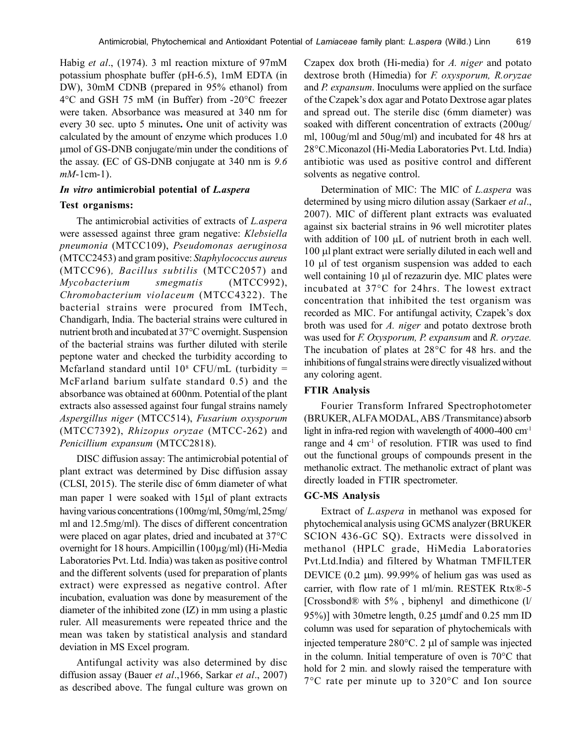Habig *et al*., (1974). 3 ml reaction mixture of 97mM potassium phosphate buffer (pH-6.5), 1mM EDTA (in DW), 30mM CDNB (prepared in 95% ethanol) from 4°C and GSH 75 mM (in Buffer) from -20°C freezer were taken. Absorbance was measured at 340 nm for every 30 sec. upto 5 minutes**.** One unit of activity was calculated by the amount of enzyme which produces 1.0 mol of GS-DNB conjugate/min under the conditions of the assay. **(**EC of GS-DNB conjugate at 340 nm is *9.6 mM*-1cm-1).

#### *In vitro* **antimicrobial potential of** *L.aspera*

### **Test organisms:**

The antimicrobial activities of extracts of *L.aspera* were assessed against three gram negative: *Klebsiella pneumonia* (MTCC109), *Pseudomonas aeruginosa* (MTCC2453) and gram positive: *Staphylococcus aureus* (MTCC96)*, Bacillus subtilis* (MTCC2057) and *Mycobacterium smegmatis* (MTCC992), *Chromobacterium violaceum* (MTCC4322). The bacterial strains were procured from IMTech, Chandigarh, India. The bacterial strains were cultured in nutrient broth and incubated at 37°C overnight. Suspension of the bacterial strains was further diluted with sterile peptone water and checked the turbidity according to Mcfarland standard until  $10^8$  CFU/mL (turbidity = McFarland barium sulfate standard 0.5) and the absorbance was obtained at 600nm. Potential of the plant extracts also assessed against four fungal strains namely *Aspergillus niger* (MTCC514), *Fusarium oxysporum* (MTCC7392), *Rhizopus oryzae* (MTCC-262) and *Penicillium expansum* (MTCC2818).

DISC diffusion assay: The antimicrobial potential of plant extract was determined by Disc diffusion assay (CLSI, 2015). The sterile disc of 6mm diameter of what man paper 1 were soaked with  $15\mu$  of plant extracts having various concentrations (100mg/ml, 50mg/ml, 25mg/ ml and 12.5mg/ml). The discs of different concentration were placed on agar plates, dried and incubated at 37°C overnight for 18 hours. Ampicillin (100µg/ml) (Hi-Media Laboratories Pvt. Ltd. India) was taken as positive control and the different solvents (used for preparation of plants extract) were expressed as negative control. After incubation, evaluation was done by measurement of the diameter of the inhibited zone (IZ) in mm using a plastic ruler. All measurements were repeated thrice and the mean was taken by statistical analysis and standard deviation in MS Excel program.

Antifungal activity was also determined by disc diffusion assay (Bauer *et al*.,1966, Sarkar *et al*., 2007) as described above. The fungal culture was grown on Czapex dox broth (Hi-media) for *A. niger* and potato dextrose broth (Himedia) for *F. oxysporum, R.oryzae* and *P. expansum*. Inoculums were applied on the surface of the Czapek's dox agar and Potato Dextrose agar plates and spread out. The sterile disc (6mm diameter) was soaked with different concentration of extracts (200ug/ ml, 100ug/ml and 50ug/ml) and incubated for 48 hrs at 28°C.Miconazol (Hi-Media Laboratories Pvt. Ltd. India) antibiotic was used as positive control and different solvents as negative control.

Determination of MIC: The MIC of *L.aspera* was determined by using micro dilution assay (Sarkaer *et al*., 2007). MIC of different plant extracts was evaluated against six bacterial strains in 96 well microtiter plates with addition of  $100 \mu L$  of nutrient broth in each well. 100 µl plant extract were serially diluted in each well and 10 µl of test organism suspension was added to each well containing  $10 \mu l$  of rezazurin dye. MIC plates were incubated at 37°C for 24hrs. The lowest extract concentration that inhibited the test organism was recorded as MIC. For antifungal activity, Czapek's dox broth was used for *A. niger* and potato dextrose broth was used for *F. Oxysporum, P. expansum* and *R. oryzae.* The incubation of plates at 28°C for 48 hrs. and the inhibitions of fungal strains were directly visualized without any coloring agent.

## **FTIR Analysis**

Fourier Transform Infrared Spectrophotometer (BRUKER, ALFA MODAL, ABS /Transmitance) absorb light in infra-red region with wavelength of 4000-400 cm<sup>-1</sup> range and 4 cm-1 of resolution. FTIR was used to find out the functional groups of compounds present in the methanolic extract. The methanolic extract of plant was directly loaded in FTIR spectrometer.

#### **GC-MS Analysis**

Extract of *L.aspera* in methanol was exposed for phytochemical analysis using GCMS analyzer (BRUKER SCION 436-GC SQ). Extracts were dissolved in methanol (HPLC grade, HiMedia Laboratories Pvt.Ltd.India) and filtered by Whatman TMFILTER DEVICE  $(0.2 \mu m)$ . 99.99% of helium gas was used as carrier, with flow rate of 1 ml/min. RESTEK Rtx®-5 [Crossbond® with 5% , biphenyl and dimethicone (l/ 95%)] with 30 metre length,  $0.25 \mu$  umdf and  $0.25 \mu$  mm ID column was used for separation of phytochemicals with injected temperature  $280^{\circ}$ C. 2 µl of sample was injected in the column. Initial temperature of oven is 70°C that hold for 2 min. and slowly raised the temperature with 7°C rate per minute up to 320°C and Ion source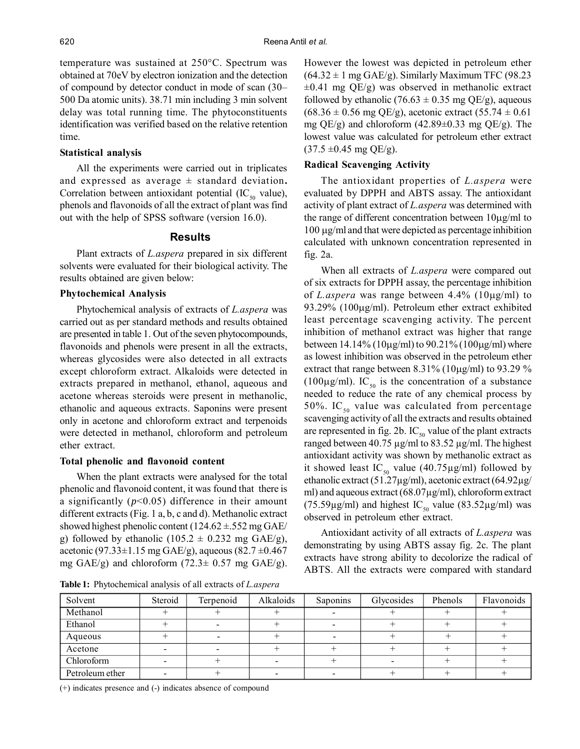temperature was sustained at 250°C. Spectrum was obtained at 70eV by electron ionization and the detection of compound by detector conduct in mode of scan (30– 500 Da atomic units). 38.71 min including 3 min solvent delay was total running time. The phytoconstituents identification was verified based on the relative retention time.

#### **Statistical analysis**

All the experiments were carried out in triplicates and expressed as average ± standard deviation**.** Correlation between antioxidant potential  $(IC_{50}$  value), phenols and flavonoids of all the extract of plant was find out with the help of SPSS software (version 16.0).

## **Results**

Plant extracts of *L.aspera* prepared in six different solvents were evaluated for their biological activity. The results obtained are given below:

## **Phytochemical Analysis**

Phytochemical analysis of extracts of *L.aspera* was carried out as per standard methods and results obtained are presented in table 1. Out of the seven phytocompounds, flavonoids and phenols were present in all the extracts, whereas glycosides were also detected in all extracts except chloroform extract. Alkaloids were detected in extracts prepared in methanol, ethanol, aqueous and acetone whereas steroids were present in methanolic, ethanolic and aqueous extracts. Saponins were present only in acetone and chloroform extract and terpenoids were detected in methanol, chloroform and petroleum ether extract.

#### **Total phenolic and flavonoid content**

When the plant extracts were analysed for the total phenolic and flavonoid content, it was found that there is a significantly (*p*<0.05) difference in their amount different extracts (Fig. 1 a, b, c and d). Methanolic extract showed highest phenolic content  $(124.62 \pm .552 \text{ mg} \text{ GAE}/$ g) followed by ethanolic  $(105.2 \pm 0.232 \text{ mg } \text{GAE/g})$ , acetonic (97.33 $\pm$ 1.15 mg GAE/g), aqueous (82.7  $\pm$ 0.467 mg GAE/g) and chloroform  $(72.3 \pm 0.57 \text{ mg} \text{ GAE/g})$ .

**Table 1:** Phytochemical analysis of all extracts of *L.aspera*

However the lowest was depicted in petroleum ether  $(64.32 \pm 1 \text{ mg } GAE/g)$ . Similarly Maximum TFC (98.23)  $\pm 0.41$  mg QE/g) was observed in methanolic extract followed by ethanolic (76.63  $\pm$  0.35 mg QE/g), aqueous  $(68.36 \pm 0.56 \text{ mg QE/g})$ , acetonic extract  $(55.74 \pm 0.61$ mg QE/g) and chloroform  $(42.89 \pm 0.33$  mg QE/g). The lowest value was calculated for petroleum ether extract  $(37.5 \pm 0.45 \text{ mg QE/g}).$ 

#### **Radical Scavenging Activity**

The antioxidant properties of *L.aspera* were evaluated by DPPH and ABTS assay. The antioxidant activity of plant extract of *L.aspera* was determined with the range of different concentration between  $10\mu\text{g/ml}$  to  $100 \mu g/ml$  and that were depicted as percentage inhibition calculated with unknown concentration represented in fig. 2a.

When all extracts of *L.aspera* were compared out of six extracts for DPPH assay, the percentage inhibition of *L.aspera* was range between  $4.4\%$  ( $10\mu\text{g/ml}$ ) to 93.29% (100µg/ml). Petroleum ether extract exhibited least percentage scavenging activity. The percent inhibition of methanol extract was higher that range between 14.14% (10 $\mu$ g/ml) to 90.21% (100 $\mu$ g/ml) where as lowest inhibition was observed in the petroleum ether extract that range between  $8.31\%$  (10 $\mu$ g/ml) to 93.29 % (100 $\mu$ g/ml). IC<sub>50</sub> is the concentration of a substance needed to reduce the rate of any chemical process by 50%. IC $_{50}$  value was calculated from percentage scavenging activity of all the extracts and results obtained are represented in fig. 2b.  $IC_{50}$  value of the plant extracts ranged between 40.75 µg/ml to 83.52 µg/ml. The highest antioxidant activity was shown by methanolic extract as it showed least IC<sub>50</sub> value (40.75 $\mu$ g/ml) followed by ethanolic extract (51.27µg/ml), acetonic extract (64.92µg/ ml) and aqueous extract (68.07μg/ml), chloroform extract (75.59 $\mu$ g/ml) and highest IC<sub>50</sub> value (83.52 $\mu$ g/ml) was observed in petroleum ether extract.

Antioxidant activity of all extracts of *L.aspera* was demonstrating by using ABTS assay fig. 2c. The plant extracts have strong ability to decolorize the radical of ABTS. All the extracts were compared with standard

| Solvent         | Steroid | Terpenoid | Alkaloids | Saponins | Glycosides | Phenols | Flavonoids |
|-----------------|---------|-----------|-----------|----------|------------|---------|------------|
| Methanol        |         |           |           |          |            |         |            |
| Ethanol         |         |           |           |          |            |         |            |
| Aqueous         |         |           |           |          |            |         |            |
| Acetone         |         |           |           |          |            |         |            |
| Chloroform      |         |           |           |          |            |         |            |
| Petroleum ether |         |           | -         |          |            |         |            |

(+) indicates presence and (-) indicates absence of compound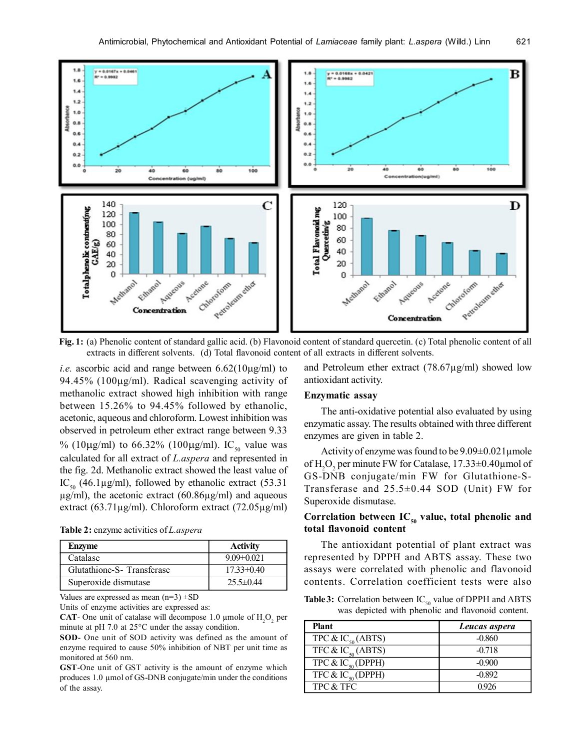

**Fig. 1:** (a) Phenolic content of standard gallic acid. (b) Flavonoid content of standard quercetin. (c) Total phenolic content of all extracts in different solvents. (d) Total flavonoid content of all extracts in different solvents.

*i.e.* ascorbic acid and range between  $6.62(10\mu\text{g/ml})$  to 94.45% (100 $\mu$ g/ml). Radical scavenging activity of methanolic extract showed high inhibition with range between 15.26% to 94.45% followed by ethanolic, acetonic, aqueous and chloroform. Lowest inhibition was observed in petroleum ether extract range between 9.33 % (10µg/ml) to 66.32% (100µg/ml). IC<sub>50</sub> value was calculated for all extract of *L.aspera* and represented in the fig. 2d. Methanolic extract showed the least value of IC<sub>50</sub> (46.1µg/ml), followed by ethanolic extract (53.31)  $\mu$ g/ml), the acetonic extract (60.86 $\mu$ g/ml) and aqueous extract (63.71µg/ml). Chloroform extract (72.05µg/ml)

| Table 2: enzyme activities of <i>L. aspera</i> |  |  |
|------------------------------------------------|--|--|
|------------------------------------------------|--|--|

| <b>Enzyme</b>             | <b>Activity</b>  |
|---------------------------|------------------|
| Catalase                  | $9.09 \pm 0.021$ |
| Glutathione-S-Transferase | $17.33 \pm 0.40$ |
| Superoxide dismutase      | $25.5 \pm 0.44$  |

Values are expressed as mean  $(n=3) \pm SD$ 

Units of enzyme activities are expressed as:

**CAT**- One unit of catalase will decompose 1.0  $\mu$ mole of  $H_2O_2$  per minute at pH 7.0 at 25°C under the assay condition.

**SOD**- One unit of SOD activity was defined as the amount of enzyme required to cause 50% inhibition of NBT per unit time as monitored at 560 nm.

**GST**-One unit of GST activity is the amount of enzyme which produces 1.0 µmol of GS-DNB conjugate/min under the conditions of the assay.

and Petroleum ether extract (78.67µg/ml) showed low antioxidant activity.

## **Enzymatic assay**

The anti-oxidative potential also evaluated by using enzymatic assay. The results obtained with three different enzymes are given in table 2.

Activity of enzyme was found to be  $9.09\pm0.021$  µmole of  $H_2O_2$  per minute FW for Catalase, 17.33 $\pm$ 0.40 $\mu$ mol of GS-DNB conjugate/min FW for Glutathione-S-Transferase and 25.5±0.44 SOD (Unit) FW for Superoxide dismutase.

# Correlation between IC<sub>50</sub> value, total phenolic and **total flavonoid content**

The antioxidant potential of plant extract was represented by DPPH and ABTS assay. These two assays were correlated with phenolic and flavonoid contents. Correlation coefficient tests were also

**Table 3:** Correlation between  $IC_{50}$  value of DPPH and ABTS was depicted with phenolic and flavonoid content.

| <b>Plant</b>                  | Leucas aspera |
|-------------------------------|---------------|
| TPC & $IC_{50}$ (ABTS)        | $-0.860$      |
| TFC & IC <sub>50</sub> (ABTS) | $-0.718$      |
| TPC & IC <sub>50</sub> (DPPH) | $-0.900$      |
| TFC & IC <sub>50</sub> (DPPH) | $-0.892$      |
| TPC & TFC                     | 0926          |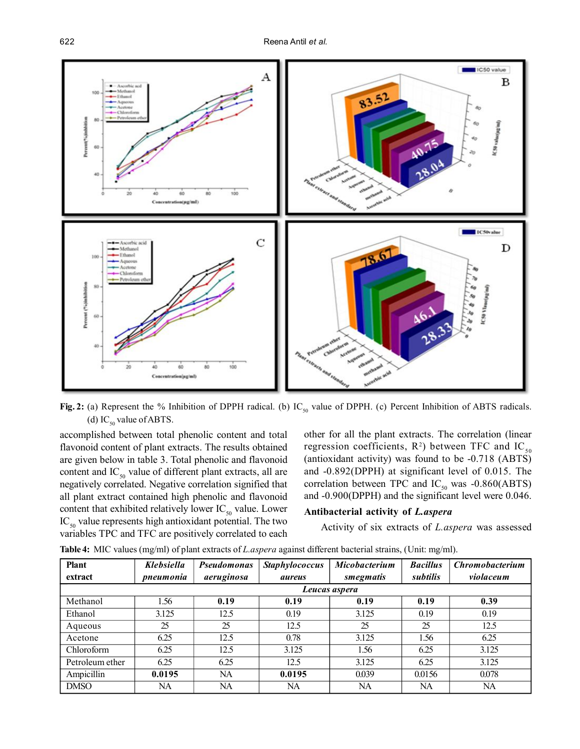

**Fig. 2:** (a) Represent the % Inhibition of DPPH radical. (b) IC<sub>50</sub> value of DPPH. (c) Percent Inhibition of ABTS radicals. (d) IC<sub>50</sub> value of ABTS.

accomplished between total phenolic content and total flavonoid content of plant extracts. The results obtained are given below in table 3. Total phenolic and flavonoid content and  $IC_{50}$  value of different plant extracts, all are negatively correlated. Negative correlation signified that all plant extract contained high phenolic and flavonoid content that exhibited relatively lower  $IC_{50}$  value. Lower  $IC_{50}$  value represents high antioxidant potential. The two variables TPC and TFC are positively correlated to each

other for all the plant extracts. The correlation (linear regression coefficients,  $R^2$ ) between TFC and IC<sub>50</sub> (antioxidant activity) was found to be -0.718 (ABTS) and -0.892(DPPH) at significant level of 0.015. The correlation between TPC and  $IC_{50}$  was -0.860(ABTS) and -0.900(DPPH) and the significant level were 0.046.

## **Antibacterial activity of** *L.aspera*

Activity of six extracts of *L.aspera* was assessed

| <b>Plant</b>    | <b>Klebsiella</b> | <b>Pseudomonas</b> | <b>Staphylococcus</b> | <b>Micobacterium</b> | <b>Bacillus</b> | <b>Chromobacterium</b> |
|-----------------|-------------------|--------------------|-----------------------|----------------------|-----------------|------------------------|
| extract         | pneumonia         | aeruginosa         | <i>aureus</i>         | smegmatis            | subtilis        | violaceum              |
|                 | Leucas aspera     |                    |                       |                      |                 |                        |
| Methanol        | 1.56              | 0.19               | 0.19                  | 0.19                 | 0.19            | 0.39                   |
| Ethanol         | 3.125             | 12.5               | 0.19                  | 3.125                | 0.19            | 0.19                   |
| Aqueous         | 25                | 25                 | 12.5                  | 25                   | 25              | 12.5                   |
| Acetone         | 6.25              | 12.5               | 0.78                  | 3.125                | 1.56            | 6.25                   |
| Chloroform      | 6.25              | 12.5               | 3.125                 | 1.56                 | 6.25            | 3.125                  |
| Petroleum ether | 6.25              | 6.25               | 12.5                  | 3.125                | 6.25            | 3.125                  |
| Ampicillin      | 0.0195            | NA                 | 0.0195                | 0.039                | 0.0156          | 0.078                  |
| <b>DMSO</b>     | NA                | NA                 | NA                    | NA                   | NA              | <b>NA</b>              |

**Table 4:** MIC values (mg/ml) of plant extracts of *L.aspera* against different bacterial strains, (Unit: mg/ml).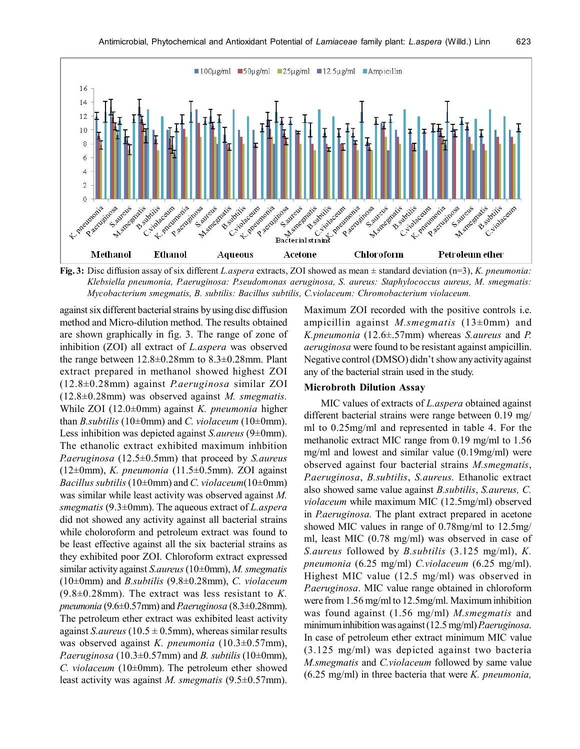

*Klebsiella pneumonia, P.aeruginosa: P.seudomonas aeruginosa, S. aureus: Staphylococcus aureus, M. smegmatis: Mycobacterium smegmatis, B. subtilis: Bacillus subtilis, C.violaceum: Chromobacterium violaceum.*

against six different bacterial strains by using disc diffusion method and Micro-dilution method. The results obtained are shown graphically in fig. 3. The range of zone of inhibition (ZOI) all extract of *L.aspera* was observed the range between 12.8±0.28mm to 8.3±0.28mm. Plant extract prepared in methanol showed highest ZOI (12.8±0.28mm) against *P.aeruginosa* similar ZOI (12.8±0.28mm) was observed against *M. smegmatis.* While ZOI (12.0±0mm) against *K. pneumonia* higher than *B.subtilis* (10 $\pm$ 0mm) and *C. violaceum* (10 $\pm$ 0mm). Less inhibition was depicted against *S.aureus* (9±0mm). The ethanolic extract exhibited maximum inhbition *P.aeruginosa* (12.5±0.5mm) that proceed by *S.aureus* (12±0mm), *K. pneumonia* (11.5±0.5mm). ZOI against *Bacillus subtilis* (10±0mm) and *C. violaceum*(10±0mm) was similar while least activity was observed against *M. smegmatis* (9.3±0mm). The aqueous extract of *L.aspera* did not showed any activity against all bacterial strains while choloroform and petroleum extract was found to be least effective against all the six bacterial strains as they exhibited poor ZOI. Chloroform extract expressed similar activity against *S.aureus* (10±0mm), *M. smegmatis* (10±0mm) and *B.subtilis* (9.8±0.28mm), *C. violaceum* (9.8±0.28mm). The extract was less resistant to *K. pneumonia* (9.6±0.57mm) and *P.aeruginosa* (8.3±0.28mm). The petroleum ether extract was exhibited least activity against *S. aureus* (10.5  $\pm$  0.5mm), whereas similar results was observed against *K. pneumonia* (10.3±0.57mm), *P.aeruginosa* (10.3±0.57mm) and *B. subtilis* (10±0mm), *C. violaceum* (10±0mm). The petroleum ether showed least activity was against *M. smegmatis* (9.5±0.57mm).

Maximum ZOI recorded with the positive controls i.e. ampicillin against *M.smegmatis* (13±0mm) and *K.pneumonia* (12.6±.57mm) whereas *S.aureus* and *P. aeruginosa* were found to be resistant against ampicillin. Negative control (DMSO) didn't show any activity against any of the bacterial strain used in the study.

#### **Microbroth Dilution Assay**

MIC values of extracts of *L.aspera* obtained against different bacterial strains were range between 0.19 mg/ ml to 0.25mg/ml and represented in table 4. For the methanolic extract MIC range from 0.19 mg/ml to 1.56 mg/ml and lowest and similar value (0.19mg/ml) were observed against four bacterial strains *M.smegmatis*, *P.aeruginosa*, *B.subtilis*, *S.aureus.* Ethanolic extract also showed same value against *B.subtilis*, *S.aureus, C. violaceum* while maximum MIC (12.5mg/ml) observed in *P.aeruginosa.* The plant extract prepared in acetone showed MIC values in range of 0.78mg/ml to 12.5mg/ ml, least MIC (0.78 mg/ml) was observed in case of *S.aureus* followed by *B.subtilis* (3.125 mg/ml), *K. pneumonia* (6.25 mg/ml) *C.violaceum* (6.25 mg/ml). Highest MIC value (12.5 mg/ml) was observed in *P.aeruginosa*. MIC value range obtained in chloroform were from 1.56 mg/ml to 12.5mg/ml. Maximum inhibition was found against (1.56 mg/ml) *M.smegmatis* and minimum inhibition was against (12.5 mg/ml) *P.aeruginosa*. In case of petroleum ether extract minimum MIC value (3.125 mg/ml) was depicted against two bacteria *M.smegmatis* and *C.violaceum* followed by same value (6.25 mg/ml) in three bacteria that were *K. pneumonia,*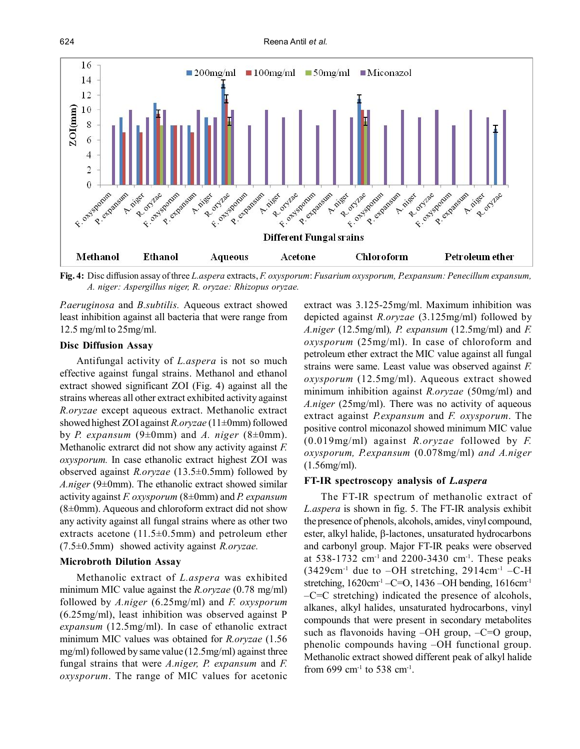

**Fig. 4:** Disc diffusion assay of three *L.aspera* extracts, *F. oxysporum*: *Fusarium oxysporum, P.expansum: Penecillum expansum, A. niger: Aspergillus niger, R. oryzae: Rhizopus oryzae.*

*P.aeruginosa* and *B.subtilis.* Aqueous extract showed least inhibition against all bacteria that were range from 12.5 mg/ml to 25mg/ml.

## **Disc Diffusion Assay**

Antifungal activity of *L.aspera* is not so much effective against fungal strains. Methanol and ethanol extract showed significant ZOI (Fig. 4) against all the strains whereas all other extract exhibited activity against *R.oryzae* except aqueous extract. Methanolic extract showed highest ZOI against *R.oryzae* (11±0mm) followed by *P. expansum* (9 $\pm$ 0mm) and *A. niger* (8 $\pm$ 0mm). Methanolic extrarct did not show any activity against *F. oxysporum.* In case ethanolic extract highest ZOI was observed against *R.oryzae* (13.5±0.5mm) followed by *A.niger* (9±0mm). The ethanolic extract showed similar activity against *F. oxysporum* (8±0mm) and *P. expansum*  $(8\pm0$ mm). Aqueous and chloroform extract did not show any activity against all fungal strains where as other two extracts acetone  $(11.5\pm0.5$ mm) and petroleum ether (7.5±0.5mm) showed activity against *R.oryzae.*

## **Microbroth Dilution Assay**

Methanolic extract of *L.aspera* was exhibited minimum MIC value against the *R.oryzae* (0.78 mg/ml) followed by *A.niger* (6.25mg/ml) and *F. oxysporum* (6.25mg/ml), least inhibition was observed against P *expansum* (12.5mg/ml). In case of ethanolic extract minimum MIC values was obtained for *R.oryzae* (1.56 mg/ml) followed by same value (12.5mg/ml) against three fungal strains that were *A.niger, P. expansum* and *F. oxysporum*. The range of MIC values for acetonic extract was 3.125-25mg/ml. Maximum inhibition was depicted against *R.oryzae* (3.125mg/ml) followed by *A.niger* (12.5mg/ml)*, P. expansum* (12.5mg/ml) and *F. oxysporum* (25mg/ml). In case of chloroform and petroleum ether extract the MIC value against all fungal strains were same. Least value was observed against *F. oxysporum* (12.5mg/ml). Aqueous extract showed minimum inhibition against *R.oryzae* (50mg/ml) and *A.niger* (25mg/ml). There was no activity of aqueous extract against *P.expansum* and *F. oxysporum*. The positive control miconazol showed minimum MIC value (0.019mg/ml) against *R.oryzae* followed by *F. oxysporum, P.expansum* (0.078mg/ml) *and A.niger* (1.56mg/ml).

#### **FT-IR spectroscopy analysis of** *L.aspera*

The FT-IR spectrum of methanolic extract of *L.aspera* is shown in fig. 5. The FT-IR analysis exhibit the presence of phenols, alcohols, amides, vinyl compound, ester, alkyl halide,  $\beta$ -lactones, unsaturated hydrocarbons and carbonyl group. Major FT-IR peaks were observed at  $538-1732$  cm<sup>-1</sup> and  $2200-3430$  cm<sup>-1</sup>. These peaks  $(3429cm^{-1}$  due to  $-OH$  stretching,  $2914cm^{-1}$  -C-H stretching,  $1620 \text{cm}^{-1}$  –C=O,  $1436$  –OH bending,  $1616 \text{cm}^{-1}$  $-C=C$  stretching) indicated the presence of alcohols, alkanes, alkyl halides, unsaturated hydrocarbons, vinyl compounds that were present in secondary metabolites such as flavonoids having  $-OH$  group,  $-C=O$  group, phenolic compounds having –OH functional group. Methanolic extract showed different peak of alkyl halide from 699  $cm^{-1}$  to 538  $cm^{-1}$ .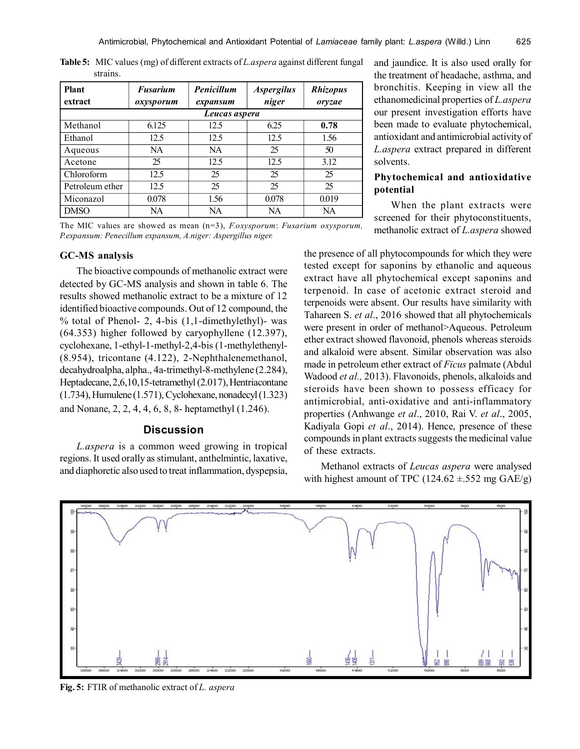| <b>Plant</b><br>extract | <b>Fusarium</b><br>oxysporum | Penicillum<br>expansum | <i><b>Aspergilus</b></i><br>niger | <b>Rhizopus</b><br>orvzae |  |  |
|-------------------------|------------------------------|------------------------|-----------------------------------|---------------------------|--|--|
| Leucas aspera           |                              |                        |                                   |                           |  |  |
| Methanol                | 6.125                        | 12.5                   | 6.25                              | 0.78                      |  |  |
| Ethanol                 | 12.5                         | 12.5                   | 12.5                              | 1.56                      |  |  |
| Aqueous                 | NA.                          | <b>NA</b>              | 25                                | 50                        |  |  |
| Acetone                 | 25                           | 12.5                   | 12.5                              | 3.12                      |  |  |
| Chloroform              | 12.5                         | 25                     | 25                                | 25                        |  |  |
| Petroleum ether         | 12.5                         | 25                     | 25                                | 25                        |  |  |
| Miconazol               | 0.078                        | 1.56                   | 0.078                             | 0.019                     |  |  |
| <b>DMSO</b>             | NA                           | NA                     | NA                                | NA                        |  |  |

**Table 5:** MIC values (mg) of different extracts of *L.aspera* against different fungal strains.

The MIC values are showed as mean (n=3), *F.oxysporum*: *Fusarium oxysporum, P.expansum: Penecillum expansum, A.niger: Aspergillus niger.*

## **GC-MS analysis**

The bioactive compounds of methanolic extract were detected by GC-MS analysis and shown in table 6. The results showed methanolic extract to be a mixture of 12 identified bioactive compounds. Out of 12 compound, the % total of Phenol- 2, 4-bis (1,1-dimethylethyl)- was (64.353) higher followed by caryophyllene (12.397), cyclohexane, 1-ethyl-1-methyl-2,4-bis (1-methylethenyl- (8.954), tricontane (4.122), 2-Nephthalenemethanol, decahydroalpha, alpha., 4a-trimethyl-8-methylene (2.284), Heptadecane, 2,6,10,15-tetramethyl (2.017), Hentriacontane (1.734), Humulene (1.571), Cyclohexane, nonadecyl (1.323) and Nonane, 2, 2, 4, 4, 6, 8, 8- heptamethyl (1.246).

## **Discussion**

*L.aspera* is a common weed growing in tropical regions. It used orally as stimulant, anthelmintic, laxative, and diaphoretic also used to treat inflammation, dyspepsia, and jaundice. It is also used orally for the treatment of headache, asthma, and bronchitis. Keeping in view all the ethanomedicinal properties of *L.aspera* our present investigation efforts have been made to evaluate phytochemical, antioxidant and antimicrobial activity of *L.aspera* extract prepared in different solvents.

# **Phytochemical and antioxidative potential**

When the plant extracts were screened for their phytoconstituents, methanolic extract of *L.aspera* showed

the presence of all phytocompounds for which they were tested except for saponins by ethanolic and aqueous extract have all phytochemical except saponins and terpenoid. In case of acetonic extract steroid and terpenoids were absent. Our results have similarity with Tahareen S. *et al*., 2016 showed that all phytochemicals were present in order of methanol>Aqueous. Petroleum ether extract showed flavonoid, phenols whereas steroids and alkaloid were absent. Similar observation was also made in petroleum ether extract of *Ficus* palmate (Abdul Wadood *et al.,* 2013). Flavonoids, phenols, alkaloids and steroids have been shown to possess efficacy for antimicrobial, anti-oxidative and anti-inflammatory properties (Anhwange *et al*., 2010, Rai V. *et al*., 2005, Kadiyala Gopi *et al*., 2014). Hence, presence of these compounds in plant extracts suggests the medicinal value of these extracts.

Methanol extracts of *Leucas aspera* were analysed with highest amount of TPC (124.62  $\pm$ .552 mg GAE/g)



**Fig. 5:** FTIR of methanolic extract of *L. aspera*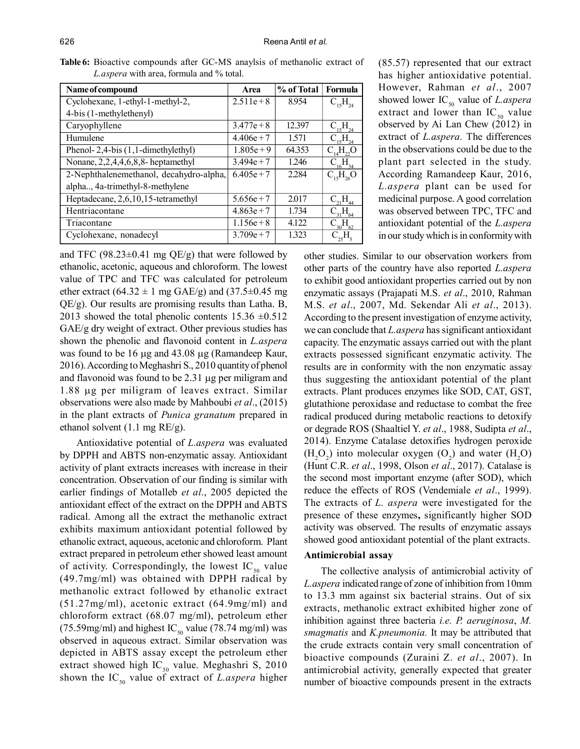| Name of compound                          | Area         | % of Total | Formula                                    |
|-------------------------------------------|--------------|------------|--------------------------------------------|
| Cyclohexane, 1-ethyl-1-methyl-2,          | $2.511e + 8$ | 8.954      | $C_{15}H_{24}$                             |
| 4-bis (1-methylethenyl)                   |              |            |                                            |
| Caryophyllene                             | $3.477e + 8$ | 12.397     | $C_{15}H_{24}$                             |
| Humulene                                  | $4.406e + 7$ | 1.571      | $\rm C_{_{15}H_{_{24}}}$                   |
| Phenol- $2,4$ -bis $(1,1$ -dimethylethyl) | $1.805e + 9$ | 64.353     | $C_{14}H_{22}O$                            |
| Nonane, $2,2,4,4,6,8,8$ - heptamethyl     | $3.494e + 7$ | 1.246      | $C_{16}H_{34}$                             |
| 2-Nephthalenemethanol, decahydro-alpha,   | $6.405e+7$   | 2.284      | $C_{15}H_{26}O$                            |
| alpha, 4a-trimethyl-8-methylene           |              |            |                                            |
| Heptadecane, 2,6,10,15-tetramethyl        | $5.656e + 7$ | 2.017      | $\rm{C^{}_{21}H^{}_{44}}$                  |
| Hentriacontane                            | $4.863e+7$   | 1.734      | $_{31}H_{64}$                              |
| Triacontane                               | $1.156e + 8$ | 4.122      | ${\rm C}^{\quad}_{30}{\rm H}^{\quad}_{62}$ |
| Cyclohexane, nonadecyl                    | $3.709e + 7$ | 1.323      |                                            |
|                                           |              |            |                                            |

**Table 6:** Bioactive compounds after GC-MS anaylsis of methanolic extract of *L.aspera* with area, formula and % total.

and TFC (98.23 $\pm$ 0.41 mg QE/g) that were followed by ethanolic, acetonic, aqueous and chloroform. The lowest value of TPC and TFC was calculated for petroleum ether extract  $(64.32 \pm 1 \text{ mg } GAE/g)$  and  $(37.5 \pm 0.45 \text{ mg})$ QE/g). Our results are promising results than Latha. B, 2013 showed the total phenolic contents  $15.36 \pm 0.512$ GAE/g dry weight of extract. Other previous studies has shown the phenolic and flavonoid content in *L.aspera* was found to be 16  $\mu$ g and 43.08  $\mu$ g (Ramandeep Kaur, 2016). According to Meghashri S., 2010 quantity of phenol and flavonoid was found to be  $2.31 \mu$ g per miligram and 1.88 µg per miligram of leaves extract. Similar observations were also made by Mahboubi *et al*., (2015) in the plant extracts of *Punica granatum* prepared in ethanol solvent (1.1 mg RE/g).

Antioxidative potential of *L.aspera* was evaluated by DPPH and ABTS non-enzymatic assay. Antioxidant activity of plant extracts increases with increase in their concentration. Observation of our finding is similar with earlier findings of Motalleb *et al*., 2005 depicted the antioxidant effect of the extract on the DPPH and ABTS radical. Among all the extract the methanolic extract exhibits maximum antioxidant potential followed by ethanolic extract, aqueous, acetonic and chloroform. Plant extract prepared in petroleum ether showed least amount of activity. Correspondingly, the lowest  $IC_{50}$  value (49.7mg/ml) was obtained with DPPH radical by methanolic extract followed by ethanolic extract (51.27mg/ml), acetonic extract (64.9mg/ml) and chloroform extract (68.07 mg/ml), petroleum ether (75.59mg/ml) and highest IC<sub>50</sub> value (78.74 mg/ml) was observed in aqueous extract. Similar observation was depicted in ABTS assay except the petroleum ether extract showed high  $IC_{50}$  value. Meghashri S, 2010 shown the IC<sub>50</sub> value of extract of *L.aspera* higher (85.57) represented that our extract has higher antioxidative potential. However, Rahman *et al*., 2007 showed lower IC<sub>50</sub> value of *L.aspera* extract and lower than  $IC_{50}$  value observed by Ai Lan Chew (2012) in extract of *L.aspera.* The differences in the observations could be due to the plant part selected in the study. According Ramandeep Kaur, 2016, *L.aspera* plant can be used for medicinal purpose. A good correlation was observed between TPC, TFC and antioxidant potential of the *L.aspera* in our study which is in conformity with

other studies. Similar to our observation workers from other parts of the country have also reported *L.aspera* to exhibit good antioxidant properties carried out by non enzymatic assays (Prajapati M.S. *et al*., 2010, Rahman M.S. *et al*., 2007, Md. Sekendar Ali *et al*., 2013). According to the present investigation of enzyme activity, we can conclude that *L.aspera* has significant antioxidant capacity. The enzymatic assays carried out with the plant extracts possessed significant enzymatic activity. The results are in conformity with the non enzymatic assay thus suggesting the antioxidant potential of the plant extracts. Plant produces enzymes like SOD, CAT, GST, glutathione peroxidase and reductase to combat the free radical produced during metabolic reactions to detoxify or degrade ROS (Shaaltiel Y. *et al*., 1988, Sudipta *et al*., 2014). Enzyme Catalase detoxifies hydrogen peroxide  $(H_2O_2)$  into molecular oxygen  $(O_2)$  and water  $(H_2O)$ (Hunt C.R. *et al*., 1998, Olson *et al*., 2017). Catalase is the second most important enzyme (after SOD), which reduce the effects of ROS (Vendemiale *et al*., 1999). The extracts of *L. aspera* were investigated for the presence of these enzymes**,** significantly higher SOD activity was observed. The results of enzymatic assays showed good antioxidant potential of the plant extracts.

#### **Antimicrobial assay**

The collective analysis of antimicrobial activity of *L.aspera* indicated range of zone of inhibition from 10mm to 13.3 mm against six bacterial strains. Out of six extracts, methanolic extract exhibited higher zone of inhibition against three bacteria *i.e. P. aeruginosa*, *M. smagmatis* and *K.pneumonia.* It may be attributed that the crude extracts contain very small concentration of bioactive compounds (Zuraini Z. *et al*., 2007). In antimicrobial activity, generally expected that greater number of bioactive compounds present in the extracts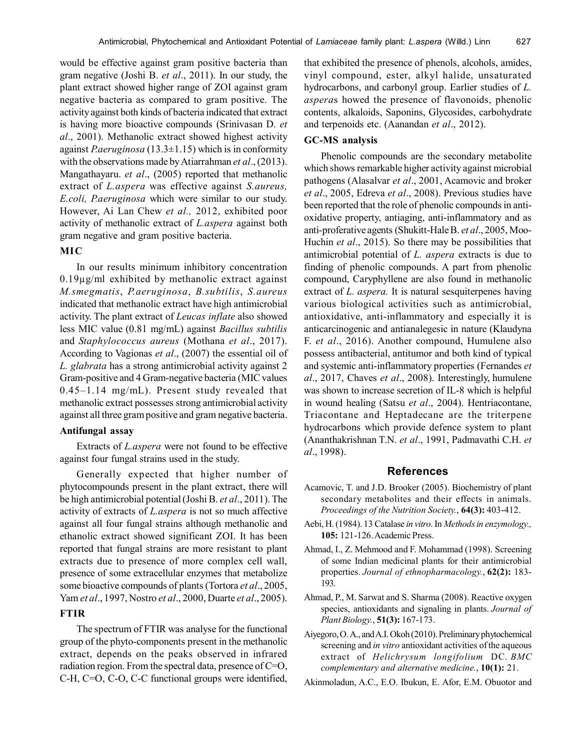would be effective against gram positive bacteria than gram negative (Joshi B. *et al*., 2011). In our study, the plant extract showed higher range of ZOI against gram negative bacteria as compared to gram positive. The activity against both kinds of bacteria indicated that extract is having more bioactive compounds (Srinivasan D. *et al*., 2001). Methanolic extract showed highest activity against *P.aeruginosa* (13.3±1.15) which is in conformity with the observations made by Atiarrahman *et al*., (2013). Mangathayaru. *et al*., (2005) reported that methanolic extract of *L.aspera* was effective against *S.aureus, E.coli, P.aeruginosa* which were similar to our study. However, Ai Lan Chew *et al.,* 2012, exhibited poor activity of methanolic extract of *L.aspera* against both gram negative and gram positive bacteria.

## **MIC**

In our results minimum inhibitory concentration 0.19µg/ml exhibited by methanolic extract against *M.smegmatis*, *P.aeruginosa*, *B.subtilis*, *S.aureus* indicated that methanolic extract have high antimicrobial activity. The plant extract of *Leucas inflate* also showed less MIC value (0.81 mg/mL) against *Bacillus subtilis* and *Staphylococcus aureus* (Mothana *et al*., 2017). According to Vagionas *et al*., (2007) the essential oil of *L. glabrata* has a strong antimicrobial activity against 2 Gram-positive and 4 Gram-negative bacteria (MIC values 0.45–1.14 mg/mL). Present study revealed that methanolic extract possesses strong antimicrobial activity against all three gram positive and gram negative bacteria.

## **Antifungal assay**

Extracts of *L.aspera* were not found to be effective against four fungal strains used in the study.

Generally expected that higher number of phytocompounds present in the plant extract, there will be high antimicrobial potential (Joshi B. *et al*., 2011). The activity of extracts of *L.aspera* is not so much affective against all four fungal strains although methanolic and ethanolic extract showed significant ZOI. It has been reported that fungal strains are more resistant to plant extracts due to presence of more complex cell wall, presence of some extracellular enzymes that metabolize some bioactive compounds of plants (Tortora *et al*., 2005, Yam *et al*., 1997, Nostro *et al*., 2000, Duarte *et al*., 2005).

# **FTIR**

The spectrum of FTIR was analyse for the functional group of the phyto-components present in the methanolic extract, depends on the peaks observed in infrared radiation region. From the spectral data, presence of C=O, C-H, C=O, C-O, C-C functional groups were identified,

that exhibited the presence of phenols, alcohols, amides, vinyl compound, ester, alkyl halide, unsaturated hydrocarbons, and carbonyl group. Earlier studies of *L. aspera*s howed the presence of flavonoids, phenolic contents, alkaloids, Saponins, Glycosides, carbohydrate and terpenoids etc. (Aanandan *et al*., 2012).

## **GC-MS analysis**

Phenolic compounds are the secondary metabolite which shows remarkable higher activity against microbial pathogens (Alasalvar *et al*., 2001, Acamovic and broker *et al*., 2005, Edreva *et al*., 2008). Previous studies have been reported that the role of phenolic compounds in antioxidative property, antiaging, anti-inflammatory and as anti-proferative agents (Shukitt-Hale B. *et al*., 2005, Moo-Huchin *et al*., 2015). So there may be possibilities that antimicrobial potential of *L. aspera* extracts is due to finding of phenolic compounds. A part from phenolic compound, Caryphyllene are also found in methanolic extract of *L. aspera.* It is natural sesquiterpenes having various biological activities such as antimicrobial, antioxidative, anti-inflammatory and especially it is anticarcinogenic and antianalegesic in nature (Klaudyna F. *et al*., 2016). Another compound, Humulene also possess antibacterial, antitumor and both kind of typical and systemic anti-inflammatory properties (Fernandes *et al*., 2017, Chaves *et al*., 2008). Interestingly, humulene was shown to increase secretion of IL-8 which is helpful in wound healing (Satsu *et al*., 2004). Hentriacontane, Triacontane and Heptadecane are the triterpene hydrocarbons which provide defence system to plant (Ananthakrishnan T.N. *et al*., 1991, Padmavathi C.H. *et al*., 1998).

#### **References**

- Acamovic, T. and J.D. Brooker (2005). Biochemistry of plant secondary metabolites and their effects in animals. *Proceedings of the Nutrition Society.*, **64(3):** 403-412.
- Aebi, H. (1984). 13 Catalase *in vitro*. In *Methods in enzymology.,* **105:** 121-126. Academic Press.
- Ahmad, I., Z. Mehmood and F. Mohammad (1998). Screening of some Indian medicinal plants for their antimicrobial properties. *Journal of ethnopharmacology.*, **62(2):** 183- 193.
- Ahmad, P., M. Sarwat and S. Sharma (2008). Reactive oxygen species, antioxidants and signaling in plants. *Journal of Plant Biology.*, **51(3):** 167-173.
- Aiyegoro, O. A., and A.I. Okoh (2010). Preliminary phytochemical screening and *in vitro* antioxidant activities of the aqueous extract of *Helichrysum longifolium* DC. *BMC complementary and alternative medicine.*, **10(1):** 21.

Akinmoladun, A.C., E.O. Ibukun, E. Afor, E.M. Obuotor and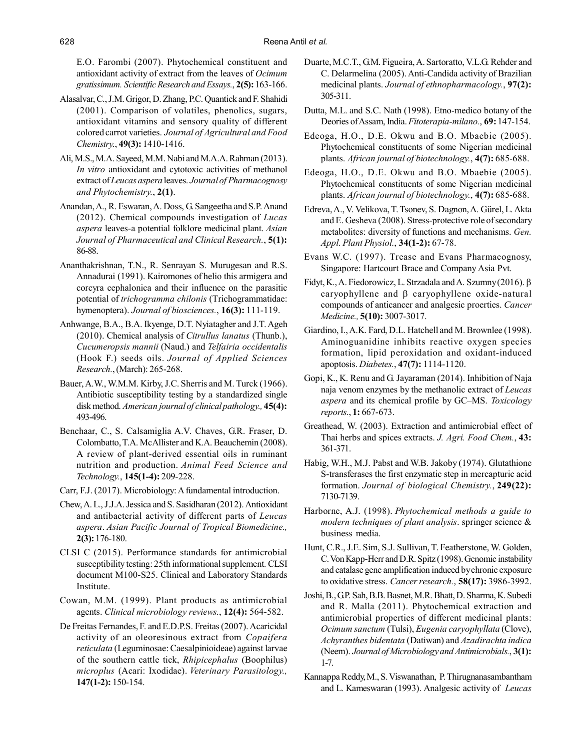E.O. Farombi (2007). Phytochemical constituent and antioxidant activity of extract from the leaves of *Ocimum gratissimum. Scientific Research and Essays.*, **2(5):** 163-166.

- Alasalvar, C., J.M. Grigor, D. Zhang, P.C. Quantick and F. Shahidi (2001). Comparison of volatiles, phenolics, sugars, antioxidant vitamins and sensory quality of different colored carrot varieties. *Journal of Agricultural and Food Chemistry.*, **49(3):** 1410-1416.
- Ali, M.S., M.A. Sayeed, M.M. Nabi and M.A.A. Rahman (2013). *In vitro* antioxidant and cytotoxic activities of methanol extract of *Leucas aspera* leaves. *Journal of Pharmacognosy and Phytochemistry.*, **2(1)**.
- Anandan, A., R. Eswaran, A. Doss, G. Sangeetha and S.P. Anand (2012). Chemical compounds investigation of *Lucas aspera* leaves-a potential folklore medicinal plant. *Asian Journal of Pharmaceutical and Clinical Research.*, **5(1):** 86-88.
- Ananthakrishnan, T.N., R. Senrayan S. Murugesan and R.S. Annadurai (1991). Kairomones of helio this armigera and corcyra cephalonica and their influence on the parasitic potential of *trichogramma chilonis* (Trichogrammatidae: hymenoptera). *Journal of biosciences.*, **16(3):** 111-119.
- Anhwange, B.A., B.A. Ikyenge, D.T. Nyiatagher and J.T. Ageh (2010). Chemical analysis of *Citrullus lanatus* (Thunb.), *Cucumeropsis mannii* (Naud.) and *Telfairia occidentalis* (Hook F.) seeds oils. *Journal of Applied Sciences Research.*, (March): 265-268.
- Bauer, A.W., W.M.M. Kirby, J.C. Sherris and M. Turck (1966). Antibiotic susceptibility testing by a standardized single disk method. *American journal of clinical pathology.,* **45(4):** 493-496.
- Benchaar, C., S. Calsamiglia A.V. Chaves, G.R. Fraser, D. Colombatto, T.A. McAllister and K.A. Beauchemin (2008). A review of plant-derived essential oils in ruminant nutrition and production. *Animal Feed Science and Technology.*, **145(1-4):** 209-228.
- Carr, F.J. (2017). Microbiology: A fundamental introduction.
- Chew, A. L., J.J.A. Jessica and S. Sasidharan (2012). Antioxidant and antibacterial activity of different parts of *Leucas aspera*. *Asian Pacific Journal of Tropical Biomedicine.,* **2(3):** 176-180.
- CLSI C (2015). Performance standards for antimicrobial susceptibility testing: 25th informational supplement. CLSI document M100-S25. Clinical and Laboratory Standards Institute.
- Cowan, M.M. (1999). Plant products as antimicrobial agents. *Clinical microbiology reviews.*, **12(4):** 564-582.
- De Freitas Fernandes, F. and E.D.P.S. Freitas (2007). Acaricidal activity of an oleoresinous extract from *Copaifera reticulata* (Leguminosae: Caesalpinioideae) against larvae of the southern cattle tick, *Rhipicephalus* (Boophilus) *microplus* (Acari: Ixodidae). *Veterinary Parasitology.,* **147(1-2):** 150-154.
- Duarte, M.C.T., G.M. Figueira, A. Sartoratto, V.L.G. Rehder and C. Delarmelina (2005). Anti-Candida activity of Brazilian medicinal plants. *Journal of ethnopharmacology.*, **97(2):** 305-311.
- Dutta, M.L. and S.C. Nath (1998). Etno-medico botany of the Deories of Assam, India. *Fitoterapia-milano.*, **69:** 147-154.
- Edeoga, H.O., D.E. Okwu and B.O. Mbaebie (2005). Phytochemical constituents of some Nigerian medicinal plants. *African journal of biotechnology.*, **4(7):** 685-688.
- Edeoga, H.O., D.E. Okwu and B.O. Mbaebie (2005). Phytochemical constituents of some Nigerian medicinal plants. *African journal of biotechnology.*, **4(7):** 685-688.
- Edreva, A., V. Velikova, T. Tsonev, S. Dagnon, A. Gürel, L. Akta and E. Gesheva (2008). Stress-protective role of secondary metabolites: diversity of functions and mechanisms. *Gen. Appl. Plant Physiol.*, **34(1-2):** 67-78.
- Evans W.C. (1997). Trease and Evans Pharmacognosy, Singapore: Hartcourt Brace and Company Asia Pvt.
- Fidyt, K., A. Fiedorowicz, L. Strzadala and A. Szumny (2016).  $\beta$ caryophyllene and  $\beta$  caryophyllene oxide-natural compounds of anticancer and analgesic proerties. *Cancer Medicine.,* **5(10):** 3007-3017.
- Giardino, I., A.K. Fard, D.L. Hatchell and M. Brownlee (1998). Aminoguanidine inhibits reactive oxygen species formation, lipid peroxidation and oxidant-induced apoptosis. *Diabetes.*, **47(7):** 1114-1120.
- Gopi, K., K. Renu and G. Jayaraman (2014). Inhibition of Naja naja venom enzymes by the methanolic extract of *Leucas aspera* and its chemical profile by GC–MS. *Toxicology reports.*, **1:** 667-673.
- Greathead, W. (2003). Extraction and antimicrobial effect of Thai herbs and spices extracts. *J. Agri. Food Chem.*, **43:** 361-371.
- Habig, W.H., M.J. Pabst and W.B. Jakoby (1974). Glutathione S-transferases the first enzymatic step in mercapturic acid formation. *Journal of biological Chemistry.*, **249(22):** 7130-7139.
- Harborne, A.J. (1998). *Phytochemical methods a guide to modern techniques of plant analysis*. springer science & business media.
- Hunt, C.R., J.E. Sim, S.J. Sullivan, T. Featherstone, W. Golden, C. Von Kapp-Herr and D.R. Spitz (1998). Genomic instability and catalase gene amplification induced by chronic exposure to oxidative stress. *Cancer research.*, **58(17):** 3986-3992.
- Joshi, B., G.P. Sah, B.B. Basnet, M.R. Bhatt, D. Sharma, K. Subedi and R. Malla (2011). Phytochemical extraction and antimicrobial properties of different medicinal plants: *Ocimum sanctum* (Tulsi), *Eugenia caryophyllata* (Clove), *Achyranthes bidentata* (Datiwan) and *Azadirachta indica* (Neem). *Journal of Microbiology and Antimicrobials.*, **3(1):** 1-7.
- Kannappa Reddy, M., S. Viswanathan, P. Thirugnanasambantham and L. Kameswaran (1993). Analgesic activity of *Leucas*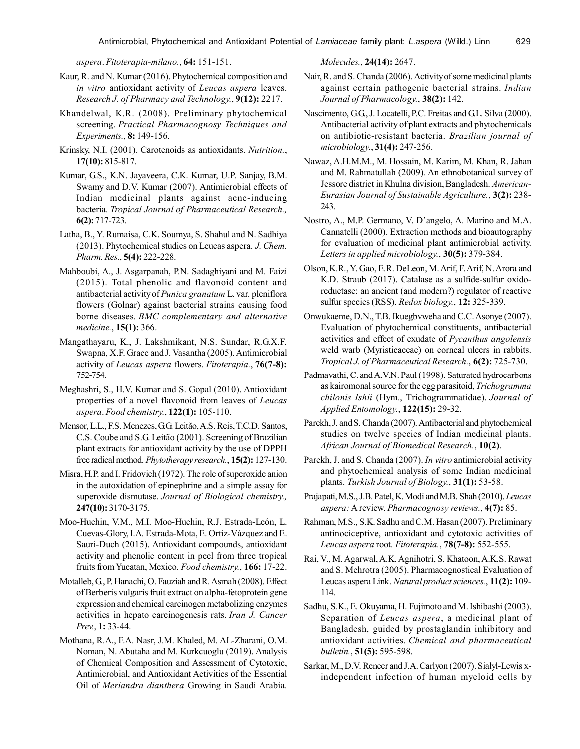*aspera*. *Fitoterapia-milano.*, **64:** 151-151.

- Kaur, R. and N. Kumar (2016). Phytochemical composition and *in vitro* antioxidant activity of *Leucas aspera* leaves. *Research J. of Pharmacy and Technology.*, **9(12):** 2217.
- Khandelwal, K.R. (2008). Preliminary phytochemical screening. *Practical Pharmacognosy Techniques and Experiments.*, **8:** 149-156.
- Krinsky, N.I. (2001). Carotenoids as antioxidants. *Nutrition.*, **17(10):** 815-817.
- Kumar, G.S., K.N. Jayaveera, C.K. Kumar, U.P. Sanjay, B.M. Swamy and D.V. Kumar (2007). Antimicrobial effects of Indian medicinal plants against acne-inducing bacteria. *Tropical Journal of Pharmaceutical Research.,* **6(2):** 717-723.
- Latha, B., Y. Rumaisa, C.K. Soumya, S. Shahul and N. Sadhiya (2013). Phytochemical studies on Leucas aspera. *J. Chem. Pharm. Res.*, **5(4):** 222-228.
- Mahboubi, A., J. Asgarpanah, P.N. Sadaghiyani and M. Faizi (2015). Total phenolic and flavonoid content and antibacterial activity of *Punica granatum* L. var. pleniflora flowers (Golnar) against bacterial strains causing food borne diseases. *BMC complementary and alternative medicine.*, **15(1):** 366.
- Mangathayaru, K., J. Lakshmikant, N.S. Sundar, R.G.X.F. Swapna, X.F. Grace and J. Vasantha (2005). Antimicrobial activity of *Leucas aspera* flowers. *Fitoterapia.*, **76(7-8):** 752-754.
- Meghashri, S., H.V. Kumar and S. Gopal (2010). Antioxidant properties of a novel flavonoid from leaves of *Leucas aspera*. *Food chemistry.*, **122(1):** 105-110.
- Mensor, L.L., F.S. Menezes, G.G. Leitão, A.S. Reis, T.C.D. Santos, C.S. Coube and S.G. Leitão (2001). Screening of Brazilian plant extracts for antioxidant activity by the use of DPPH free radical method. *Phytotherapy research.*, **15(2):** 127-130.
- Misra, H.P. and I. Fridovich (1972). The role of superoxide anion in the autoxidation of epinephrine and a simple assay for superoxide dismutase. *Journal of Biological chemistry.,* **247(10):** 3170-3175.
- Moo-Huchin, V.M., M.I. Moo-Huchin, R.J. Estrada-León, L. Cuevas-Glory, I.A. Estrada-Mota, E. Ortiz-Vázquez and E. Sauri-Duch (2015). Antioxidant compounds, antioxidant activity and phenolic content in peel from three tropical fruits from Yucatan, Mexico. *Food chemistry.*, **166:** 17-22.
- Motalleb, G., P. Hanachi, O. Fauziah and R. Asmah (2008). Effect of Berberis vulgaris fruit extract on alpha-fetoprotein gene expression and chemical carcinogen metabolizing enzymes activities in hepato carcinogenesis rats. *Iran J. Cancer Prev.*, **1:** 33-44.
- Mothana, R.A., F.A. Nasr, J.M. Khaled, M. AL-Zharani, O.M. Noman, N. Abutaha and M. Kurkcuoglu (2019). Analysis of Chemical Composition and Assessment of Cytotoxic, Antimicrobial, and Antioxidant Activities of the Essential Oil of *Meriandra dianthera* Growing in Saudi Arabia.

*Molecules.*, **24(14):** 2647.

- Nair, R. and S. Chanda (2006). Activity of some medicinal plants against certain pathogenic bacterial strains. *Indian Journal of Pharmacology.*, **38(2):** 142.
- Nascimento, G.G., J. Locatelli, P.C. Freitas and G.L. Silva (2000). Antibacterial activity of plant extracts and phytochemicals on antibiotic-resistant bacteria. *Brazilian journal of microbiology.*, **31(4):** 247-256.
- Nawaz, A.H.M.M., M. Hossain, M. Karim, M. Khan, R. Jahan and M. Rahmatullah (2009). An ethnobotanical survey of Jessore district in Khulna division, Bangladesh. *American-Eurasian Journal of Sustainable Agriculture.*, **3(2):** 238- 243.
- Nostro, A., M.P. Germano, V. D'angelo, A. Marino and M.A. Cannatelli (2000). Extraction methods and bioautography for evaluation of medicinal plant antimicrobial activity. *Letters in applied microbiology.*, **30(5):** 379-384.
- Olson, K.R., Y. Gao, E.R. DeLeon, M. Arif, F. Arif, N. Arora and K.D. Straub (2017). Catalase as a sulfide-sulfur oxidoreductase: an ancient (and modern?) regulator of reactive sulfur species (RSS). *Redox biology.*, **12:** 325-339.
- Onwukaeme, D.N., T.B. Ikuegbvweha and C.C. Asonye (2007). Evaluation of phytochemical constituents, antibacterial activities and effect of exudate of *Pycanthus angolensis* weld warb (Myristicaceae) on corneal ulcers in rabbits. *Tropical J. of Pharmaceutical Research.*, **6(2):** 725-730.
- Padmavathi, C. and A.V.N. Paul (1998). Saturated hydrocarbons as kairomonal source for the egg parasitoid, *Trichogramma chilonis Ishii* (Hym., Trichogrammatidae). *Journal of Applied Entomology.*, **122(15):** 29-32.
- Parekh, J. and S. Chanda (2007). Antibacterial and phytochemical studies on twelve species of Indian medicinal plants. *African Journal of Biomedical Research.*, **10(2)**.
- Parekh, J. and S. Chanda (2007). *In vitro* antimicrobial activity and phytochemical analysis of some Indian medicinal plants. *Turkish Journal of Biology.*, **31(1):** 53-58.
- Prajapati, M.S., J.B. Patel, K. Modi and M.B. Shah (2010). *Leucas aspera:* A review. *Pharmacognosy reviews.*, **4(7):** 85.
- Rahman, M.S., S.K. Sadhu and C.M. Hasan (2007). Preliminary antinociceptive, antioxidant and cytotoxic activities of *Leucas aspera* root. *Fitoterapia.*, **78(7-8):** 552-555.
- Rai, V., M. Agarwal, A.K. Agnihotri, S. Khatoon, A.K.S. Rawat and S. Mehrotra (2005). Pharmacognostical Evaluation of Leucas aspera Link. *Natural product sciences.*, **11(2):** 109- 114.
- Sadhu, S.K., E. Okuyama, H. Fujimoto and M. Ishibashi (2003). Separation of *Leucas aspera*, a medicinal plant of Bangladesh, guided by prostaglandin inhibitory and antioxidant activities. *Chemical and pharmaceutical bulletin.*, **51(5):** 595-598.
- Sarkar, M., D.V. Reneer and J.A. Carlyon (2007). Sialyl-Lewis xindependent infection of human myeloid cells by